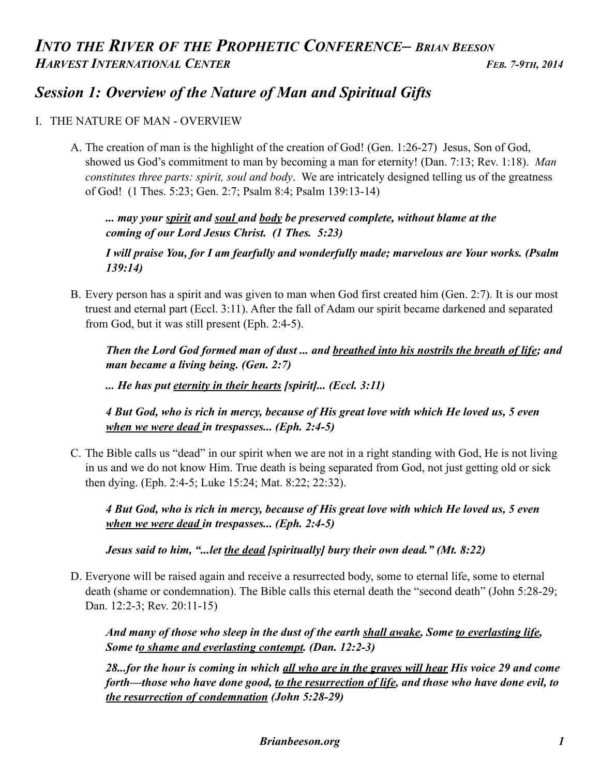## *Session 1: Overview of the Nature of Man and Spiritual Gifts*

## I. THE NATURE OF MAN - OVERVIEW

A. The creation of man is the highlight of the creation of God! (Gen. 1:26-27) Jesus, Son of God, showed us God's commitment to man by becoming a man for eternity! (Dan. 7:13; Rev. 1:18). *Man constitutes three parts: spirit, soul and body*. We are intricately designed telling us of the greatness of God! (1 Thes. 5:23; Gen. 2:7; Psalm 8:4; Psalm 139:13-14)

 *... may your spirit and soul and body be preserved complete, without blame at the coming of our Lord Jesus Christ. (1 Thes. 5:23)* 

 *I will praise You, for I am fearfully and wonderfully made; marvelous are Your works. (Psalm 139:14)* 

B. Every person has a spirit and was given to man when God first created him (Gen. 2:7). It is our most truest and eternal part (Eccl. 3:11). After the fall of Adam our spirit became darkened and separated from God, but it was still present (Eph. 2:4-5).

 *Then the Lord God formed man of dust ... and breathed into his nostrils the breath of life; and man became a living being. (Gen. 2:7)* 

 *... He has put eternity in their hearts [spirit]... (Eccl. 3:11)* 

 *4 But God, who is rich in mercy, because of His great love with which He loved us, 5 even when we were dead in trespasses... (Eph. 2:4-5)* 

C. The Bible calls us "dead" in our spirit when we are not in a right standing with God, He is not living in us and we do not know Him. True death is being separated from God, not just getting old or sick then dying. (Eph. 2:4-5; Luke 15:24; Mat. 8:22; 22:32).

 *4 But God, who is rich in mercy, because of His great love with which He loved us, 5 even when we were dead in trespasses... (Eph. 2:4-5)* 

*Jesus said to him, "...let the dead [spiritually] bury their own dead." (Mt. 8:22)* 

D. Everyone will be raised again and receive a resurrected body, some to eternal life, some to eternal death (shame or condemnation). The Bible calls this eternal death the "second death" (John 5:28-29; Dan. 12:2-3; Rev. 20:11-15)

 *And many of those who sleep in the dust of the earth shall awake, Some to everlasting life, Some to shame and everlasting contempt. (Dan. 12:2-3)* 

 *28...for the hour is coming in which all who are in the graves will hear His voice 29 and come forth—those who have done good, to the resurrection of life, and those who have done evil, to the resurrection of condemnation (John 5:28-29)*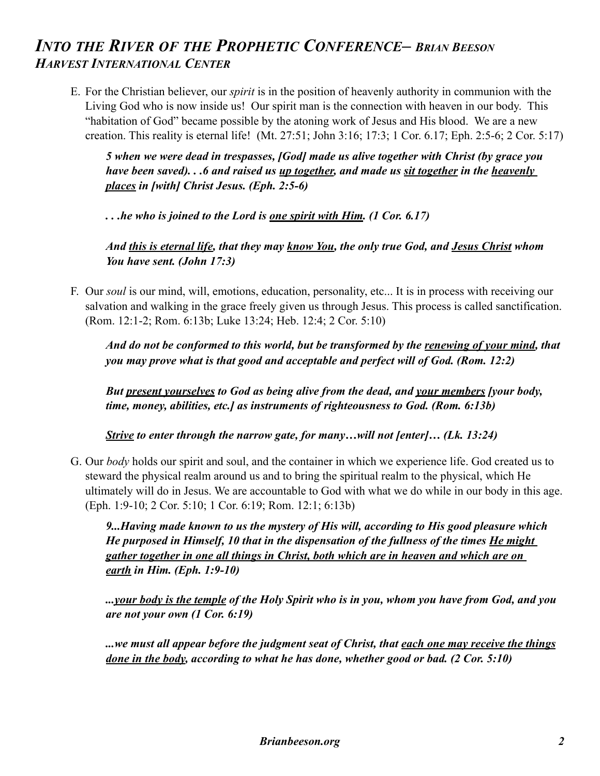E. For the Christian believer, our *spirit* is in the position of heavenly authority in communion with the Living God who is now inside us! Our spirit man is the connection with heaven in our body. This "habitation of God" became possible by the atoning work of Jesus and His blood. We are a new creation. This reality is eternal life! (Mt. 27:51; John 3:16; 17:3; 1 Cor. 6.17; Eph. 2:5-6; 2 Cor. 5:17)

 *5 when we were dead in trespasses, [God] made us alive together with Christ (by grace you have been saved). . .6 and raised us <u>up together</u>, and made us <u>sit together</u> in the <u>heavenly</u> places in [with] Christ Jesus. (Eph. 2:5-6)* 

 *. . .he who is joined to the Lord is one spirit with Him. (1 Cor. 6.17)* 

 *And this is eternal life, that they may know You, the only true God, and Jesus Christ whom You have sent. (John 17:3)* 

F. Our *soul* is our mind, will, emotions, education, personality, etc... It is in process with receiving our salvation and walking in the grace freely given us through Jesus. This process is called sanctification. (Rom. 12:1-2; Rom. 6:13b; Luke 13:24; Heb. 12:4; 2 Cor. 5:10)

 *And do not be conformed to this world, but be transformed by the renewing of your mind, that you may prove what is that good and acceptable and perfect will of God. (Rom. 12:2)*

 *But present yourselves to God as being alive from the dead, and your members [your body, time, money, abilities, etc.] as instruments of righteousness to God. (Rom. 6:13b)* 

 *Strive to enter through the narrow gate, for many…will not [enter]… (Lk. 13:24)*

G. Our *body* holds our spirit and soul, and the container in which we experience life. God created us to steward the physical realm around us and to bring the spiritual realm to the physical, which He ultimately will do in Jesus. We are accountable to God with what we do while in our body in this age. (Eph. 1:9-10; 2 Cor. 5:10; 1 Cor. 6:19; Rom. 12:1; 6:13b)

 *9...Having made known to us the mystery of His will, according to His good pleasure which He purposed in Himself, 10 that in the dispensation of the fullness of the times He might gather together in one all things in Christ, both which are in heaven and which are on earth in Him. (Eph. 1:9-10)* 

 *...your body is the temple of the Holy Spirit who is in you, whom you have from God, and you are not your own (1 Cor. 6:19)* 

 *...we must all appear before the judgment seat of Christ, that each one may receive the things done in the body, according to what he has done, whether good or bad. (2 Cor. 5:10)*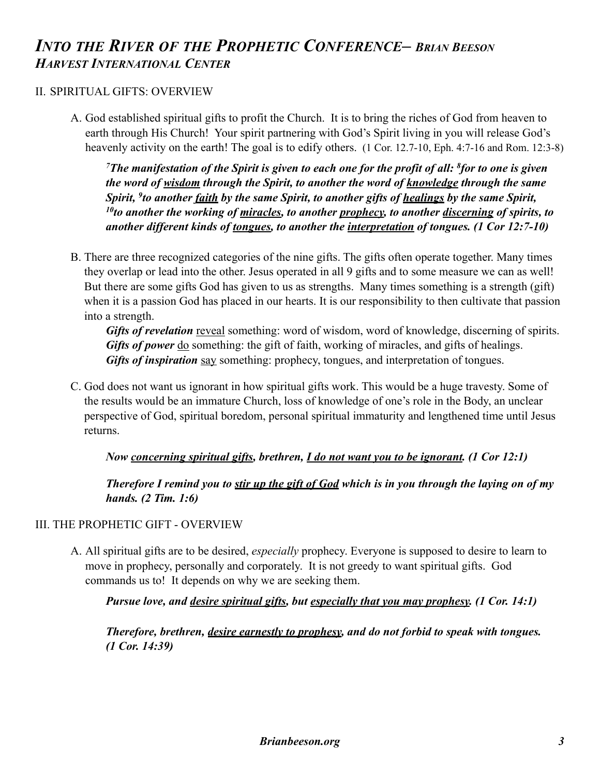## II. SPIRITUAL GIFTS: OVERVIEW

A. God established spiritual gifts to profit the Church. It is to bring the riches of God from heaven to earth through His Church! Your spirit partnering with God's Spirit living in you will release God's heavenly activity on the earth! The goal is to edify others. (1 Cor. 12.7-10, Eph. 4:7-16 and Rom. 12:3-8)

 *7The manifestation of the Spirit is given to each one for the profit of all: 8for to one is given the word of wisdom through the Spirit, to another the word of knowledge through the same Spirit, 9to another faith by the same Spirit, to another gifts of healings by the same Spirit, 10to another the working of miracles, to another prophecy, to another discerning of spirits, to another different kinds of tongues, to another the interpretation of tongues. (1 Cor 12:7-10)* 

B. There are three recognized categories of the nine gifts. The gifts often operate together. Many times they overlap or lead into the other. Jesus operated in all 9 gifts and to some measure we can as well! But there are some gifts God has given to us as strengths. Many times something is a strength (gift) when it is a passion God has placed in our hearts. It is our responsibility to then cultivate that passion into a strength.

*Gifts of revelation* reveal something: word of wisdom, word of knowledge, discerning of spirits. *Gifts of power* do something: the gift of faith, working of miracles, and gifts of healings. *Gifts of inspiration* say something: prophecy, tongues, and interpretation of tongues.

C. God does not want us ignorant in how spiritual gifts work. This would be a huge travesty. Some of the results would be an immature Church, loss of knowledge of one's role in the Body, an unclear perspective of God, spiritual boredom, personal spiritual immaturity and lengthened time until Jesus returns.

## *Now concerning spiritual gifts, brethren, I do not want you to be ignorant. (1 Cor 12:1)*

 *Therefore I remind you to stir up the gift of God which is in you through the laying on of my hands. (2 Tim. 1:6)* 

## III. THE PROPHETIC GIFT - OVERVIEW

A. All spiritual gifts are to be desired, *especially* prophecy. Everyone is supposed to desire to learn to move in prophecy, personally and corporately. It is not greedy to want spiritual gifts. God commands us to! It depends on why we are seeking them.

 *Pursue love, and desire spiritual gifts, but especially that you may prophesy. (1 Cor. 14:1)* 

 *Therefore, brethren, desire earnestly to prophesy, and do not forbid to speak with tongues. (1 Cor. 14:39)*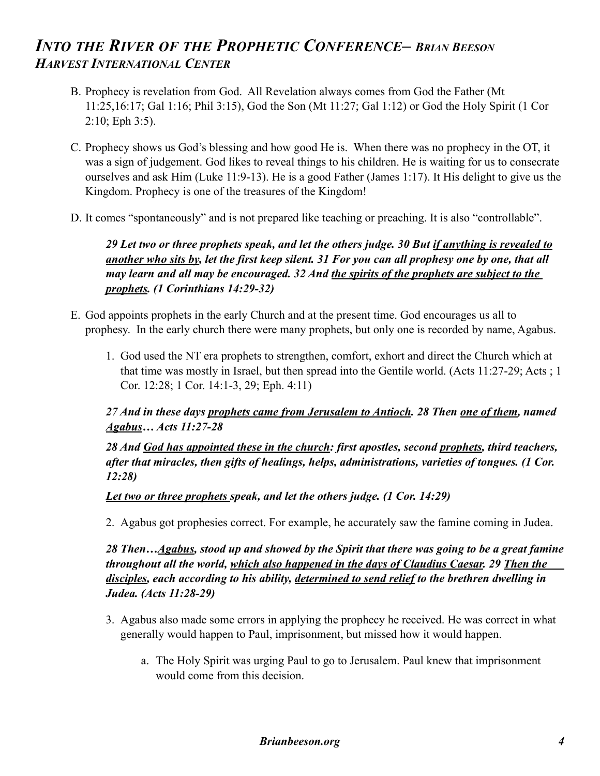- B. Prophecy is revelation from God. All Revelation always comes from God the Father (Mt 11:25,16:17; Gal 1:16; Phil 3:15), God the Son (Mt 11:27; Gal 1:12) or God the Holy Spirit (1 Cor 2:10; Eph 3:5).
- C. Prophecy shows us God's blessing and how good He is. When there was no prophecy in the OT, it was a sign of judgement. God likes to reveal things to his children. He is waiting for us to consecrate ourselves and ask Him (Luke 11:9-13). He is a good Father (James 1:17). It His delight to give us the Kingdom. Prophecy is one of the treasures of the Kingdom!
- D. It comes "spontaneously" and is not prepared like teaching or preaching. It is also "controllable".

## *29 Let two or three prophets speak, and let the others judge. 30 But if anything is revealed to another who sits by, let the first keep silent. 31 For you can all prophesy one by one, that all may learn and all may be encouraged. 32 And the spirits of the prophets are subject to the prophets. (1 Corinthians 14:29-32)*

- E. God appoints prophets in the early Church and at the present time. God encourages us all to prophesy. In the early church there were many prophets, but only one is recorded by name, Agabus.
	- 1. God used the NT era prophets to strengthen, comfort, exhort and direct the Church which at that time was mostly in Israel, but then spread into the Gentile world. (Acts 11:27-29; Acts ; 1 Cor. 12:28; 1 Cor. 14:1-3, 29; Eph. 4:11)

### *27 And in these days prophets came from Jerusalem to Antioch. 28 Then one of them, named Agabus… Acts 11:27-28*

 *28 And God has appointed these in the church: first apostles, second prophets, third teachers, after that miracles, then gifts of healings, helps, administrations, varieties of tongues. (1 Cor. 12:28)* 

### *Let two or three prophets speak, and let the others judge. (1 Cor. 14:29)*

2. Agabus got prophesies correct. For example, he accurately saw the famine coming in Judea.

*28 Then…Agabus, stood up and showed by the Spirit that there was going to be a great famine throughout all the world, which also happened in the days of Claudius Caesar. 29 Then the disciples, each according to his ability, determined to send relief to the brethren dwelling in Judea. (Acts 11:28-29)*

- 3. Agabus also made some errors in applying the prophecy he received. He was correct in what generally would happen to Paul, imprisonment, but missed how it would happen.
	- a. The Holy Spirit was urging Paul to go to Jerusalem. Paul knew that imprisonment would come from this decision.

#### *Brianbeeson.org 4*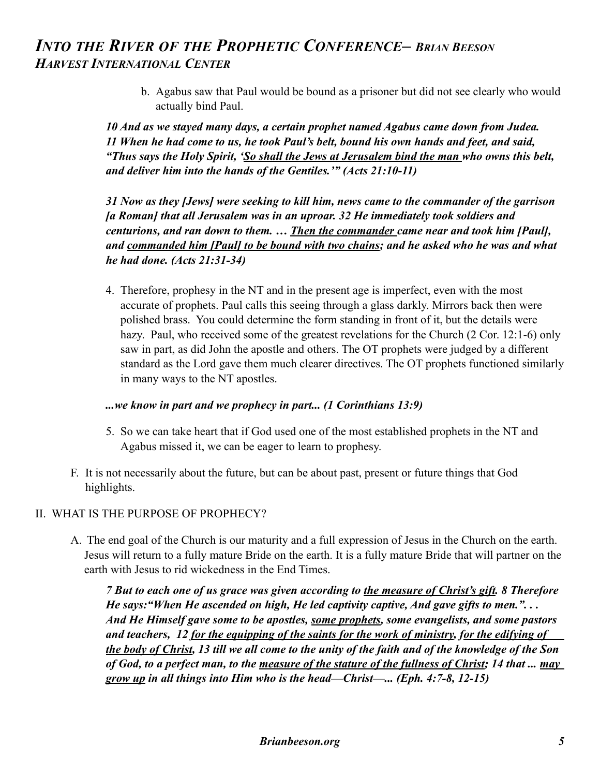b. Agabus saw that Paul would be bound as a prisoner but did not see clearly who would actually bind Paul.

 *10 And as we stayed many days, a certain prophet named Agabus came down from Judea. 11 When he had come to us, he took Paul's belt, bound his own hands and feet, and said, "Thus says the Holy Spirit, 'So shall the Jews at Jerusalem bind the man who owns this belt, and deliver him into the hands of the Gentiles.'" (Acts 21:10-11)* 

 *31 Now as they [Jews] were seeking to kill him, news came to the commander of the garrison [a Roman] that all Jerusalem was in an uproar. 32 He immediately took soldiers and centurions, and ran down to them. … Then the commander came near and took him [Paul], and commanded him [Paul] to be bound with two chains; and he asked who he was and what he had done. (Acts 21:31-34)* 

4. Therefore, prophesy in the NT and in the present age is imperfect, even with the most accurate of prophets. Paul calls this seeing through a glass darkly. Mirrors back then were polished brass. You could determine the form standing in front of it, but the details were hazy. Paul, who received some of the greatest revelations for the Church (2 Cor. 12:1-6) only saw in part, as did John the apostle and others. The OT prophets were judged by a different standard as the Lord gave them much clearer directives. The OT prophets functioned similarly in many ways to the NT apostles.

#### *...we know in part and we prophecy in part... (1 Corinthians 13:9)*

- 5. So we can take heart that if God used one of the most established prophets in the NT and Agabus missed it, we can be eager to learn to prophesy.
- F. It is not necessarily about the future, but can be about past, present or future things that God highlights.

### II. WHAT IS THE PURPOSE OF PROPHECY?

A. The end goal of the Church is our maturity and a full expression of Jesus in the Church on the earth. Jesus will return to a fully mature Bride on the earth. It is a fully mature Bride that will partner on the earth with Jesus to rid wickedness in the End Times.

 *7 But to each one of us grace was given according to the measure of Christ's gift. 8 Therefore He says:"When He ascended on high, He led captivity captive, And gave gifts to men.". . . And He Himself gave some to be apostles, some prophets, some evangelists, and some pastors and teachers, 12 for the equipping of the saints for the work of ministry, for the edifying of the body of Christ, 13 till we all come to the unity of the faith and of the knowledge of the Son of God, to a perfect man, to the measure of the stature of the fullness of Christ; 14 that ... may grow up in all things into Him who is the head—Christ—... (Eph. 4:7-8, 12-15)*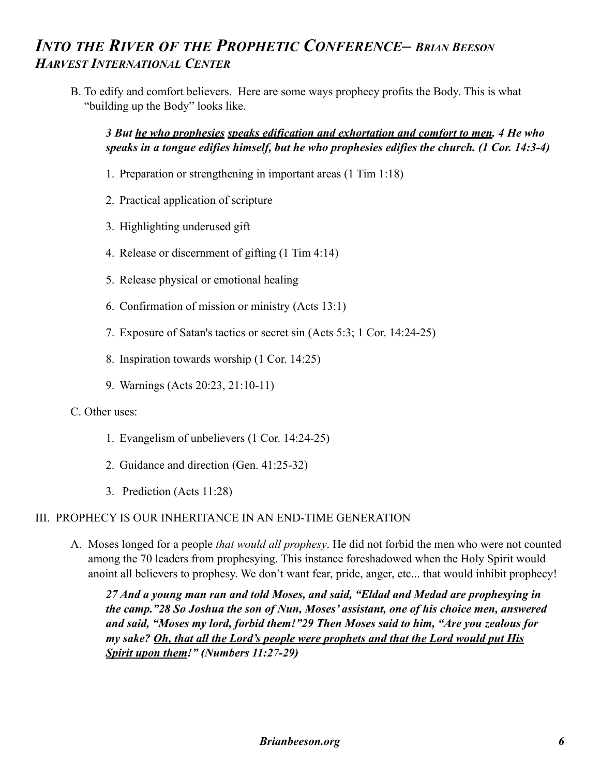B. To edify and comfort believers. Here are some ways prophecy profits the Body. This is what "building up the Body" looks like.

## *3 But he who prophesies speaks edification and exhortation and comfort to men. 4 He who speaks in a tongue edifies himself, but he who prophesies edifies the church. (1 Cor. 14:3-4)*

- 1. Preparation or strengthening in important areas (1 Tim 1:18)
- 2. Practical application of scripture
- 3. Highlighting underused gift
- 4. Release or discernment of gifting (1 Tim 4:14)
- 5. Release physical or emotional healing
- 6. Confirmation of mission or ministry (Acts 13:1)
- 7. Exposure of Satan's tactics or secret sin (Acts 5:3; 1 Cor. 14:24-25)
- 8. Inspiration towards worship (1 Cor. 14:25)
- 9. Warnings (Acts 20:23, 21:10-11)

### C. Other uses:

- 1. Evangelism of unbelievers (1 Cor. 14:24-25)
- 2. Guidance and direction (Gen. 41:25-32)
- 3. Prediction (Acts 11:28)

### III. PROPHECY IS OUR INHERITANCE IN AN END-TIME GENERATION

A. Moses longed for a people *that would all prophesy*. He did not forbid the men who were not counted among the 70 leaders from prophesying. This instance foreshadowed when the Holy Spirit would anoint all believers to prophesy. We don't want fear, pride, anger, etc... that would inhibit prophecy!

 *27 And a young man ran and told Moses, and said, "Eldad and Medad are prophesying in the camp."28 So Joshua the son of Nun, Moses' assistant, one of his choice men, answered and said, "Moses my lord, forbid them!"29 Then Moses said to him, "Are you zealous for my sake? Oh, that all the Lord's people were prophets and that the Lord would put His Spirit upon them!" (Numbers 11:27-29)*